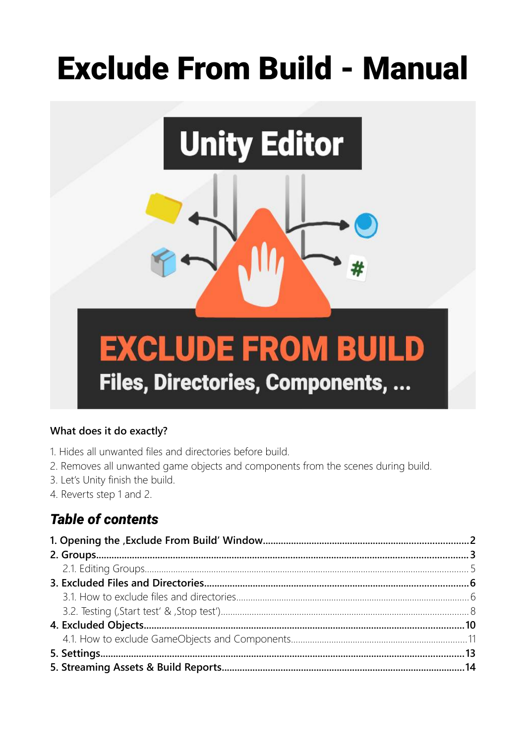# **Exclude From Build - Manual**



#### What does it do exactly?

- 1. Hides all unwanted files and directories before build.
- 2. Removes all unwanted game objects and components from the scenes during build.
- 3. Let's Unity finish the build.
- 4. Reverts step 1 and 2.

## **Table of contents**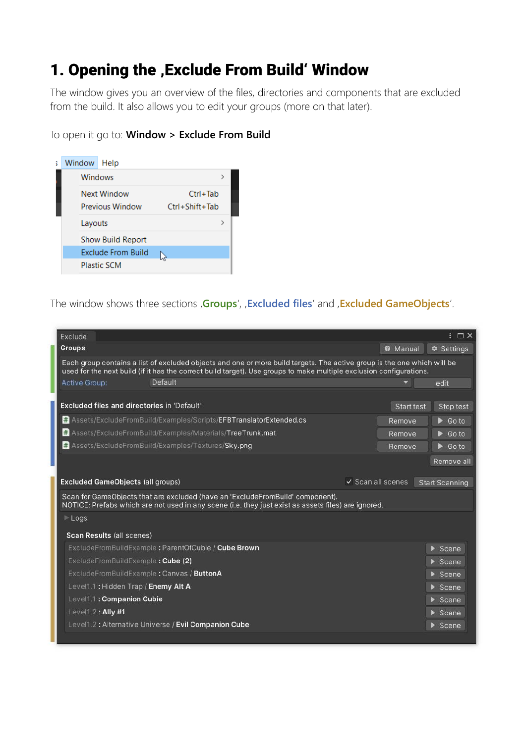## <span id="page-1-0"></span>1. Opening the , Exclude From Build' Window

The window gives you an overview of the files, directories and components that are excluded from the build. It also allows you to edit your groups (more on that later).

To open it go to: **Window > Exclude From Build**



The window shows three sections '**Groups**', '**Excluded files**' and '**Excluded GameObjects**'.

| Exclude                                            |                                                                                                                                                                                                                                                |                              |                 | $: \square$            |
|----------------------------------------------------|------------------------------------------------------------------------------------------------------------------------------------------------------------------------------------------------------------------------------------------------|------------------------------|-----------------|------------------------|
| <b>Groups</b>                                      |                                                                                                                                                                                                                                                |                              | <b>@</b> Manual | $\bullet$ Settings     |
|                                                    | Each group contains a list of excluded objects and one or more build targets. The active group is the one which will be<br>used for the next build (if it has the correct build target). Use groups to make multiple exclusion configurations. |                              |                 |                        |
| <b>Active Group:</b>                               | Default                                                                                                                                                                                                                                        |                              |                 | edit                   |
| <b>Excluded files and directories in 'Default'</b> |                                                                                                                                                                                                                                                |                              | Start test      | Stop test              |
|                                                    | # Assets/ExcludeFromBuild/Examples/Scripts/EFBTranslatorExtended.cs                                                                                                                                                                            |                              | Remove          | $\triangleright$ Go to |
|                                                    | # Assets/ExcludeFromBuild/Examples/Materials/TreeTrunk.mat                                                                                                                                                                                     |                              | Remove          | $\triangleright$ Go to |
|                                                    | # Assets/ExcludeFromBuild/Examples/Textures/Sky.png                                                                                                                                                                                            |                              | Remove          | $\triangleright$ Go to |
|                                                    |                                                                                                                                                                                                                                                |                              |                 | Remove all             |
|                                                    |                                                                                                                                                                                                                                                |                              |                 |                        |
| <b>Excluded GameObjects (all groups)</b>           |                                                                                                                                                                                                                                                | $\checkmark$ Scan all scenes |                 | <b>Start Scanning</b>  |
|                                                    | Scan for GameObjects that are excluded (have an 'ExcludeFromBuild' component).<br>NOTICE: Prefabs which are not used in any scene (i.e. they just exist as assets files) are ignored.                                                          |                              |                 |                        |
| Logs                                               |                                                                                                                                                                                                                                                |                              |                 |                        |
| Scan Results (all scenes)                          |                                                                                                                                                                                                                                                |                              |                 |                        |
|                                                    | ExcludeFromBuildExample: ParentOfCubie / Cube Brown                                                                                                                                                                                            |                              |                 | $S_{\text{cene}}$      |
| ExcludeFromBuildExample: Cube (2)                  |                                                                                                                                                                                                                                                |                              |                 | $>$ Scene              |
| ExcludeFromBuildExample: Canvas / ButtonA          |                                                                                                                                                                                                                                                |                              |                 | Scene                  |
| Level1.1: Hidden Trap / Enemy Alt A                |                                                                                                                                                                                                                                                |                              |                 | S <sub>cence</sub>     |
| Level1.1: Companion Cubie                          |                                                                                                                                                                                                                                                |                              |                 | S <sub>cone</sub>      |
| Level1.2: Ally #1                                  |                                                                                                                                                                                                                                                |                              |                 | $>$ Scene              |
|                                                    | Level1.2: Alternative Universe / Evil Companion Cube                                                                                                                                                                                           |                              |                 | $\triangleright$ Scene |
|                                                    |                                                                                                                                                                                                                                                |                              |                 |                        |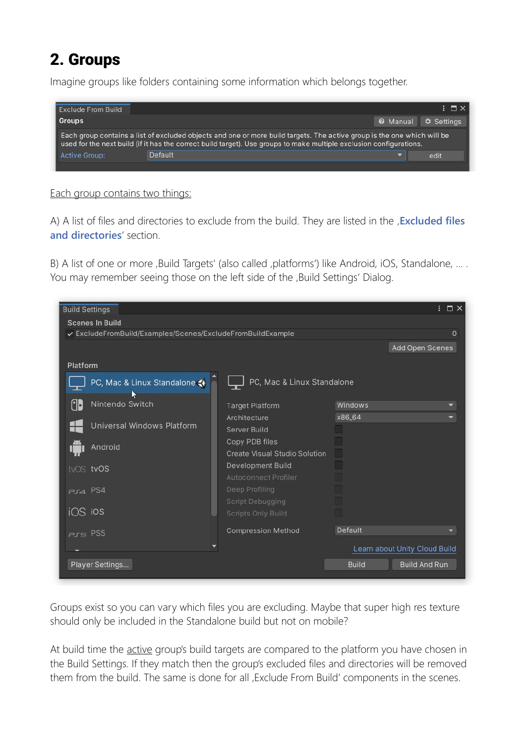# <span id="page-2-0"></span>2. Groups

Imagine groups like folders containing some information which belongs together.



#### Each group contains two things:

A) A list of files and directories to exclude from the build. They are listed in the , **Excluded files and directories**' section.

B) A list of one or more , Build Targets' (also called , platforms') like Android, iOS, Standalone, ... . You may remember seeing those on the left side of the , Build Settings' Dialog.



Groups exist so you can vary which files you are excluding. Maybe that super high res texture should only be included in the Standalone build but not on mobile?

At build time the active group's build targets are compared to the platform you have chosen in the Build Settings. If they match then the group's excluded files and directories will be removed them from the build. The same is done for all , Exclude From Build' components in the scenes.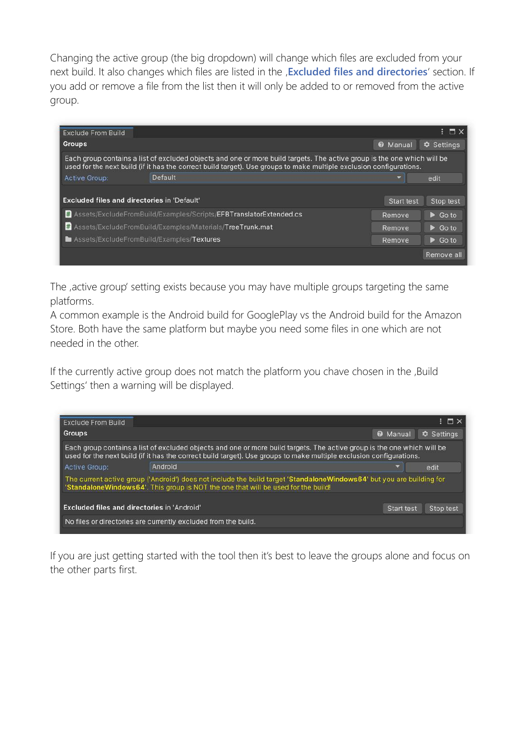Changing the active group (the big dropdown) will change which files are excluded from your next build. It also changes which files are listed in the **Excluded files and directories**' section. If you add or remove a file from the list then it will only be added to or removed from the active group.

| <b>Exclude From Build</b> |                                                                                                                                                                                                                                                |                      | $: \Box \times$                     |
|---------------------------|------------------------------------------------------------------------------------------------------------------------------------------------------------------------------------------------------------------------------------------------|----------------------|-------------------------------------|
| <b>Groups</b>             |                                                                                                                                                                                                                                                | <b>Ø</b> Manual      | <b>C</b> Settings                   |
|                           | Each group contains a list of excluded objects and one or more build targets. The active group is the one which will be<br>used for the next build (if it has the correct build target). Use groups to make multiple exclusion configurations. |                      |                                     |
| <b>Active Group:</b>      | <b>Default</b>                                                                                                                                                                                                                                 |                      | edit                                |
|                           |                                                                                                                                                                                                                                                |                      |                                     |
|                           | <b>Excluded files and directories in 'Default'</b><br># Assets/ExcludeFromBuild/Examples/Scripts/EFBTranslatorExtended.cs                                                                                                                      | Start test<br>Remove | Stop test<br>$\triangleright$ Go to |
|                           | # Assets/ExcludeFromBuild/Examples/Materials/TreeTrunk.mat                                                                                                                                                                                     | Remove               | $\triangleright$ Go to              |
|                           | <b>Manufact Assets/ExcludeFromBuild/Examples/Textures</b>                                                                                                                                                                                      | <b>Remove</b>        | $\triangleright$ Go to              |

The , active group' setting exists because you may have multiple groups targeting the same platforms.

A common example is the Android build for GooglePlay vs the Android build for the Amazon Store. Both have the same platform but maybe you need some files in one which are not needed in the other.

If the currently active group does not match the platform you chave chosen in the ,Build Settings' then a warning will be displayed.

|                                                    |            | <b>C</b> Settings                                                                                                                                                                                                                                                                                                                                                                                                                                                               |
|----------------------------------------------------|------------|---------------------------------------------------------------------------------------------------------------------------------------------------------------------------------------------------------------------------------------------------------------------------------------------------------------------------------------------------------------------------------------------------------------------------------------------------------------------------------|
|                                                    |            |                                                                                                                                                                                                                                                                                                                                                                                                                                                                                 |
| Android                                            |            | edit                                                                                                                                                                                                                                                                                                                                                                                                                                                                            |
|                                                    |            |                                                                                                                                                                                                                                                                                                                                                                                                                                                                                 |
| <b>Excluded files and directories in 'Android'</b> | Start test | Stop test                                                                                                                                                                                                                                                                                                                                                                                                                                                                       |
|                                                    |            | <b>@</b> Manual<br>Each group contains a list of excluded objects and one or more build targets. The active group is the one which will be<br>used for the next build (if it has the correct build target). Use groups to make multiple exclusion configurations.<br>The current active group ('Android') does not include the build target 'StandaloneWindows64' but you are building for<br>'StandaloneWindows64'. This group is NOT the one that will be used for the build! |

If you are just getting started with the tool then it's best to leave the groups alone and focus on the other parts first.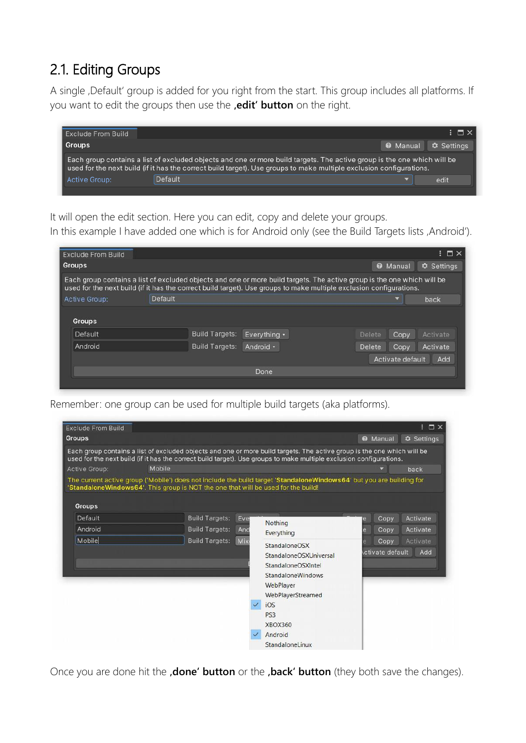## <span id="page-4-0"></span>2.1. Editing Groups

A single , Default' group is added for you right from the start. This group includes all platforms. If you want to edit the groups then use the **,edit' button** on the right.



It will open the edit section. Here you can edit, copy and delete your groups.

In this example I have added one which is for Android only (see the Build Targets lists , Android').

| <b>Exclude From Build</b> |                                                                                                                                                                                                                                                |              |        |                  | $\vdash \Box \times$ |
|---------------------------|------------------------------------------------------------------------------------------------------------------------------------------------------------------------------------------------------------------------------------------------|--------------|--------|------------------|----------------------|
| <b>Groups</b>             |                                                                                                                                                                                                                                                |              |        | <b>@</b> Manual  | Settings             |
|                           | Each group contains a list of excluded objects and one or more build targets. The active group is the one which will be<br>used for the next build (if it has the correct build target). Use groups to make multiple exclusion configurations. |              |        |                  |                      |
| <b>Active Group:</b>      | Default                                                                                                                                                                                                                                        |              |        |                  | back                 |
| Groups                    |                                                                                                                                                                                                                                                |              |        |                  |                      |
| Default                   | <b>Build Targets:</b>                                                                                                                                                                                                                          | Everything . | Delete | Copy             | Activate             |
| Android                   | <b>Build Targets:</b>                                                                                                                                                                                                                          | Android •    | Delete | Copy             | Activate             |
|                           |                                                                                                                                                                                                                                                |              |        | Activate default | Add                  |

Remember: one group can be used for multiple build targets (aka platforms).

| <b>Exclude From Build</b> |                                                                                   |                       |      |                                                                                                                                                                                                                                                |                 | $: \square \times$ |
|---------------------------|-----------------------------------------------------------------------------------|-----------------------|------|------------------------------------------------------------------------------------------------------------------------------------------------------------------------------------------------------------------------------------------------|-----------------|--------------------|
| <b>Groups</b>             |                                                                                   |                       |      |                                                                                                                                                                                                                                                | <b>Ø</b> Manual | <b>C</b> Settings  |
|                           |                                                                                   |                       |      | Each group contains a list of excluded objects and one or more build targets. The active group is the one which will be<br>used for the next build (if it has the correct build target). Use groups to make multiple exclusion configurations. |                 |                    |
| <b>Active Group:</b>      | Mobile                                                                            |                       |      |                                                                                                                                                                                                                                                |                 | back               |
|                           | 'StandaloneWindows64'. This group is NOT the one that will be used for the build! |                       |      | The current active group ('Mobile') does not include the build target 'StandaloneWindows64' but you are building for                                                                                                                           |                 |                    |
| <b>Groups</b>             |                                                                                   |                       |      |                                                                                                                                                                                                                                                |                 |                    |
| Default                   |                                                                                   | <b>Build Targets:</b> | Evel | Nothing                                                                                                                                                                                                                                        | Copy<br>le      | Activate           |
| Android                   |                                                                                   | <b>Build Targets:</b> | And  | Everything                                                                                                                                                                                                                                     | Copy            | Activate           |
| Mobile                    |                                                                                   | <b>Build Targets:</b> | Mix  | StandaloneOSX                                                                                                                                                                                                                                  | Copy            | Activate           |
|                           |                                                                                   |                       |      | StandaloneOSXUniversal                                                                                                                                                                                                                         | ctivate default | Add                |
|                           |                                                                                   |                       |      | StandaloneOSXIntel                                                                                                                                                                                                                             |                 |                    |
|                           |                                                                                   |                       |      | <b>StandaloneWindows</b>                                                                                                                                                                                                                       |                 |                    |
|                           |                                                                                   |                       |      | WebPlayer                                                                                                                                                                                                                                      |                 |                    |
|                           |                                                                                   |                       |      | WebPlayerStreamed                                                                                                                                                                                                                              |                 |                    |
|                           |                                                                                   |                       |      | iOS                                                                                                                                                                                                                                            |                 |                    |
|                           |                                                                                   |                       |      | PS3                                                                                                                                                                                                                                            |                 |                    |
|                           |                                                                                   |                       |      | <b>XBOX360</b>                                                                                                                                                                                                                                 |                 |                    |
|                           |                                                                                   |                       |      | Android                                                                                                                                                                                                                                        |                 |                    |
|                           |                                                                                   |                       |      | StandaloneLinux                                                                                                                                                                                                                                |                 |                    |

Once you are done hit the **,done' button** or the **,back' button** (they both save the changes).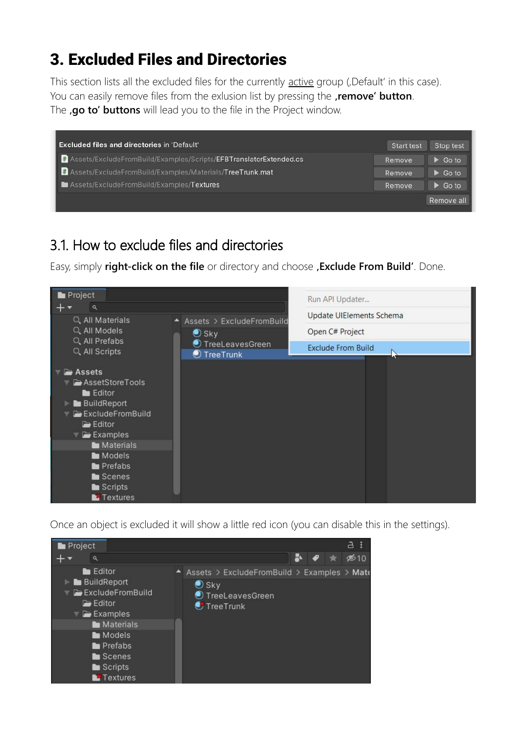# <span id="page-5-1"></span>3. Excluded Files and Directories

This section lists all the excluded files for the currently active group (,Default' in this case). You can easily remove files from the exlusion list by pressing the **remove' button**. The **,go to' buttons** will lead you to the file in the Project window.

| Excluded files and directories in 'Default'                       | Start test | Stop test              |
|-------------------------------------------------------------------|------------|------------------------|
| Assets/ExcludeFromBuild/Examples/Scripts/EFBTranslatorExtended.cs | Remove     | $\triangleright$ Go to |
| Assets/ExcludeFromBuild/Examples/Materials/TreeTrunk.mat          | Remove     | $\triangleright$ Go to |
| Assets/ExcludeFromBuild/Examples/Textures                         | Remove     | $\triangleright$ Go to |
|                                                                   |            | Remove all             |

## <span id="page-5-0"></span>3.1. How to exclude files and directories

Easy, simply **right-click on the file** or directory and choose **, Exclude From Build'**. Done.



Once an object is excluded it will show a little red icon (you can disable this in the settings).

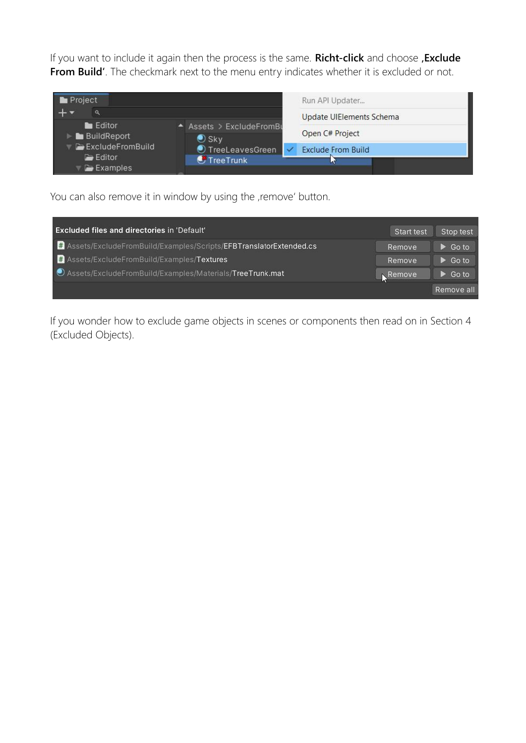If you want to include it again then the process is the same. **Richt-click** and choose , **Exclude From Build'**. The checkmark next to the menu entry indicates whether it is excluded or not.



You can also remove it in window by using the , remove' button.

| <b>Excluded files and directories in 'Default'</b>                | Start test | Stop test              |
|-------------------------------------------------------------------|------------|------------------------|
| Assets/ExcludeFromBuild/Examples/Scripts/EFBTranslatorExtended.cs | Remove     | $\triangleright$ Go to |
| Assets/ExcludeFromBuild/Examples/Textures                         | Remove     | $\triangleright$ Go to |
| O Assets/ExcludeFromBuild/Examples/Materials/TreeTrunk.mat        | Remove     | $\triangleright$ Go to |
|                                                                   |            | Remove all             |

If you wonder how to exclude game objects in scenes or components then read on in Section 4 (Excluded Objects).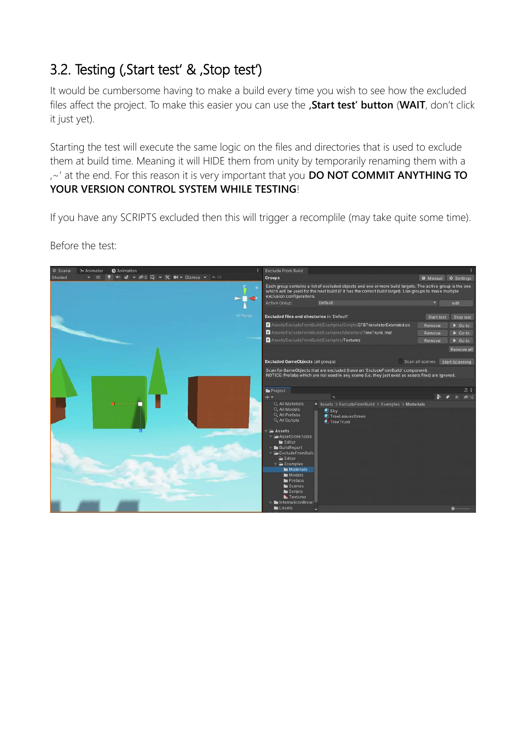## <span id="page-7-0"></span>3.2. Testing (, Start test' & , Stop test')

It would be cumbersome having to make a build every time you wish to see how the excluded files affect the project. To make this easier you can use the , Start test' button (WAIT, don't click it just yet).

Starting the test will execute the same logic on the files and directories that is used to exclude them at build time. Meaning it will HIDE them from unity by temporarily renaming them with a '~' at the end. For this reason it is very important that you **DO NOT COMMIT ANYTHING TO YOUR VERSION CONTROL SYSTEM WHILE TESTING**!

If you have any SCRIPTS excluded then this will trigger a recomplile (may take quite some time).



Before the test: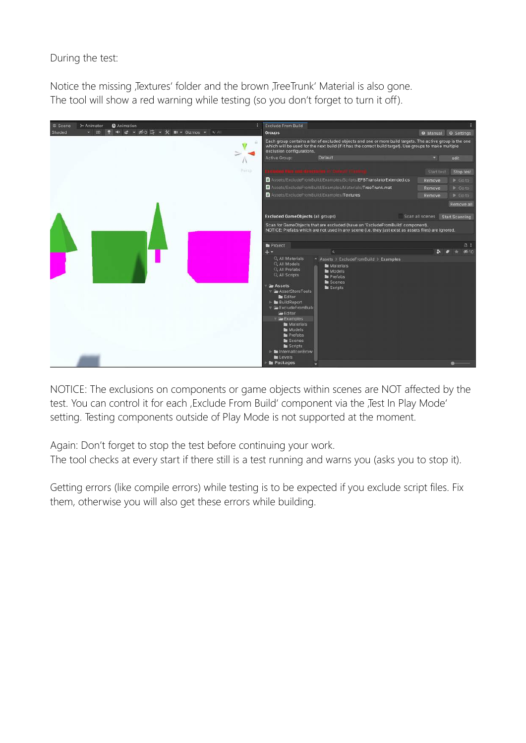During the test:

Notice the missing Jextures' folder and the brown JreeTrunk' Material is also gone. The tool will show a red warning while testing (so you don't forget to turn it off).



NOTICE: The exclusions on components or game objects within scenes are NOT affected by the test. You can control it for each , Exclude From Build' component via the , Test In Play Mode' setting. Testing components outside of Play Mode is not supported at the moment.

Again: Don't forget to stop the test before continuing your work. The tool checks at every start if there still is a test running and warns you (asks you to stop it).

Getting errors (like compile errors) while testing is to be expected if you exclude script files. Fix them, otherwise you will also get these errors while building.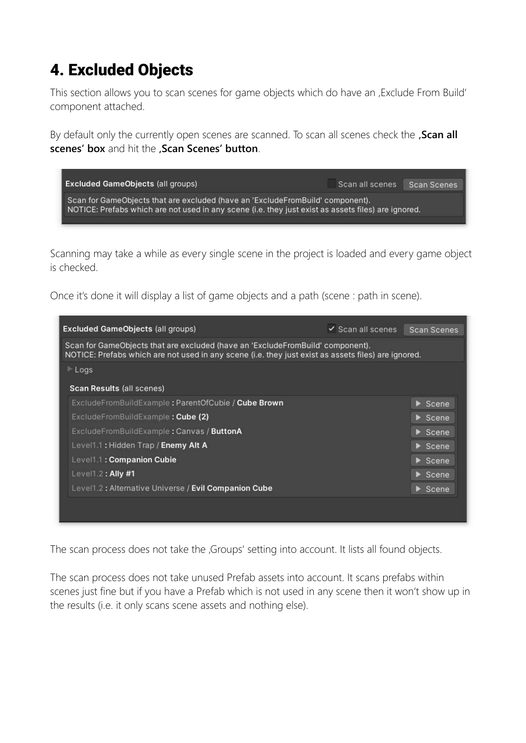# <span id="page-9-0"></span>4. Excluded Objects

This section allows you to scan scenes for game objects which do have an , Exclude From Build' component attached.

By default only the currently open scenes are scanned. To scan all scenes check the **, Scan all scenes' box** and hit the **'Scan Scenes' button**.



Scanning may take a while as every single scene in the project is loaded and every game object is checked.

Once it's done it will display a list of game objects and a path (scene : path in scene).

| Scan for GameObjects that are excluded (have an 'ExcludeFromBuild' component).<br>NOTICE: Prefabs which are not used in any scene (i.e. they just exist as assets files) are ignored. |                             |
|---------------------------------------------------------------------------------------------------------------------------------------------------------------------------------------|-----------------------------|
| $\blacktriangleright$ Logs                                                                                                                                                            |                             |
| Scan Results (all scenes)                                                                                                                                                             |                             |
| ExcludeFromBuildExample: ParentOfCubie / Cube Brown                                                                                                                                   | $\triangleright$ Scene      |
| ExcludeFromBuildExample: Cube (2)                                                                                                                                                     | $\triangleright$ Scene      |
| ExcludeFromBuildExample: Canvas / ButtonA                                                                                                                                             | $\triangleright$ Scene      |
| Level1.1: Hidden Trap / Enemy Alt A                                                                                                                                                   | $\blacktriangleright$ Scene |
| Level1.1: Companion Cubie                                                                                                                                                             | $\triangleright$ Scene      |
| $Level1.2$ : Ally #1                                                                                                                                                                  | $\triangleright$ Scene      |
| Level1.2: Alternative Universe / Evil Companion Cube                                                                                                                                  | $\triangleright$ Scene      |

The scan process does not take the , Groups' setting into account. It lists all found objects.

The scan process does not take unused Prefab assets into account. It scans prefabs within scenes just fine but if you have a Prefab which is not used in any scene then it won't show up in the results (i.e. it only scans scene assets and nothing else).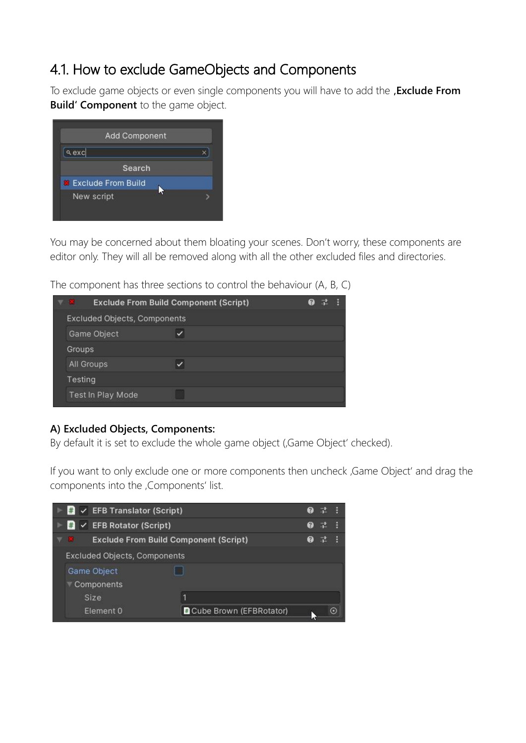## <span id="page-10-0"></span>4.1. How to exclude GameObjects and Components

To exclude game objects or even single components you will have to add the , **Exclude From Build' Component** to the game object.

| Add Component             |  |
|---------------------------|--|
| a excl                    |  |
| Search                    |  |
| <b>Exclude From Build</b> |  |
| New script                |  |

You may be concerned about them bloating your scenes. Don't worry, these components are editor only. They will all be removed along with all the other excluded files and directories.

The component has three sections to control the behaviour (A, B, C)

| <b>BEE</b>    |                                     | <b>Exclude From Build Component (Script)</b> |  |
|---------------|-------------------------------------|----------------------------------------------|--|
|               | <b>Excluded Objects, Components</b> |                                              |  |
|               | Game Object                         |                                              |  |
| <b>Groups</b> |                                     |                                              |  |
|               | All Groups                          |                                              |  |
| Testing       |                                     |                                              |  |
|               | Test In Play Mode                   |                                              |  |

#### **A) Excluded Objects, Components:**

By default it is set to exclude the whole game object (Game Object' checked).

If you want to only exclude one or more components then uncheck , Game Object' and drag the components into the ,Components' list.

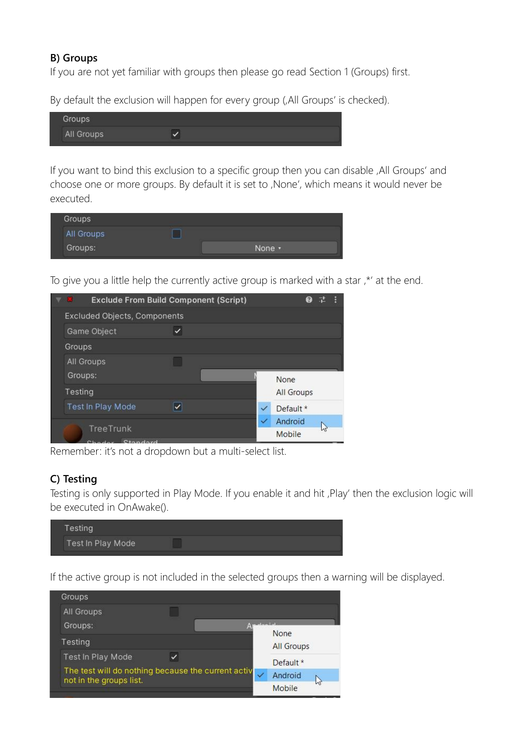#### **B) Groups**

If you are not yet familiar with groups then please go read Section 1 (Groups) first.

By default the exclusion will happen for every group (,All Groups' is checked).

| <b>START OF BUILDING</b> |  |
|--------------------------|--|
| <b>ALL AND COMPANY</b>   |  |

If you want to bind this exclusion to a specific group then you can disable , All Groups' and choose one or more groups. By default it is set to , None', which means it would never be executed.

| Groups     |  |
|------------|--|
| All Groups |  |
| Groups:    |  |

To give you a little help the currently active group is marked with a star, \*' at the end.

| ⊽ 88    | <b>Exclude From Build Component (Script)</b> |   | Ø                 | 羅 |  |
|---------|----------------------------------------------|---|-------------------|---|--|
|         | <b>Excluded Objects, Components</b>          |   |                   |   |  |
|         | Game Object                                  |   |                   |   |  |
| Groups  |                                              |   |                   |   |  |
|         | <b>All Groups</b>                            |   |                   |   |  |
| Groups: |                                              |   | None              |   |  |
| Testing |                                              |   | <b>All Groups</b> |   |  |
|         | <b>Test In Play Mode</b>                     | ✓ | Default *         |   |  |
|         | <b>TreeTrunk</b>                             | ✓ | Android           |   |  |
|         | hodor Ctondord                               |   | Mobile            |   |  |

Remember: it's not a dropdown but a multi-select list.

#### **C) Testing**

Testing is only supported in Play Mode. If you enable it and hit , Play' then the exclusion logic will be executed in OnAwake().

| and the property of the first party<br>Test In Play Mode |  |  |
|----------------------------------------------------------|--|--|

If the active group is not included in the selected groups then a warning will be displayed.

| Groups                                                                        |  |             |                           |
|-------------------------------------------------------------------------------|--|-------------|---------------------------|
| All Groups                                                                    |  |             |                           |
| Groups:                                                                       |  | $1 - 1 - 1$ |                           |
| Testing                                                                       |  |             | None<br><b>All Groups</b> |
| <b>Test In Play Mode</b>                                                      |  |             | Default *                 |
| The test will do nothing because the current activ<br>not in the groups list. |  |             | Android                   |
|                                                                               |  |             | lлť<br>Mobile             |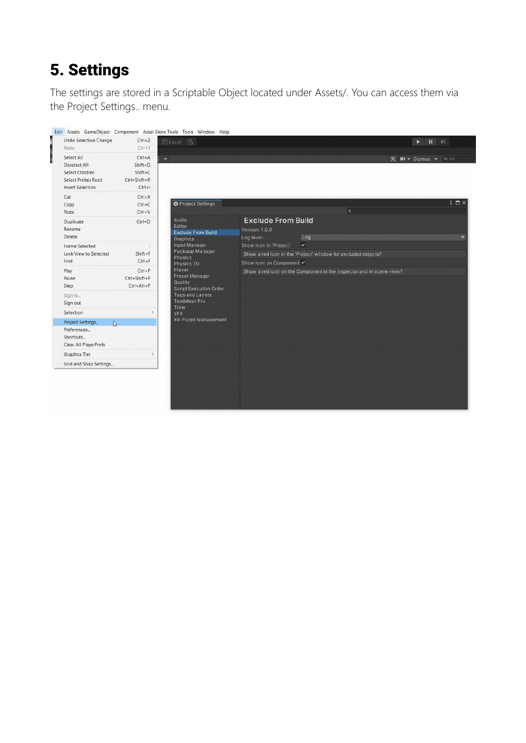# <span id="page-12-0"></span>5. Settings

The settings are stored in a Scriptable Object located under Assets/. You can access them via the Project Settings.. menu.